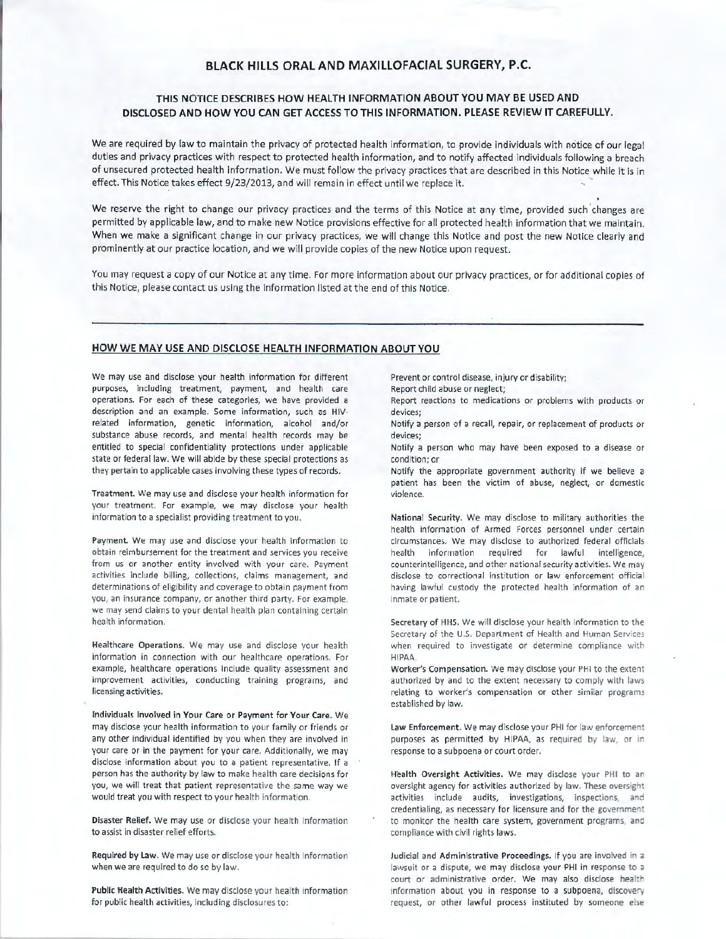## **BLACK HILLS ORAL AND MAXILLOFACIAL SURGERY, P.C.**

# **THIS NOTICE DESCRIBES HOW HEALTH INFORMATION ABOUT YOU MAY BE USED AND DISCLOSED AND HOW YOU CAN GET ACCESS TO THIS INFORMATION . PLEASE REVIEW IT CAREFULLY.**

We are required by law to maintain the privacy of protected health information, to provide individuals with notice of our legal duties and privacy practices with respect to protected health information, and to notify affected individuals following a breach of unsecured protected health information. We must follow the privacy practices that are described in this Notice while it is in effect. This Notice takes effect 9/23/2013, and will remain in effect until we replace it.

We reserve the right to change our privacy practices and the terms of this Notice at any time, provided such changes are permitted by applicable law, and to make new Notice provisions effective for all protected health information that we maintain. When we make a significant change in our privacy practices, we will change this Notice and post the new Notice clearly and prominently at our practice location, and we will provide copies of the new Notice upon request.

You may request a copy of our Notice at any time. For more information about our privacy practices, or for additional copies of this Notice, please contact us using the information listed at the end of this Notice.

## HOW WE MAY USE AND DISCLOSE HEALTH INFORMATION ABOUT YOU

We may use and disclose your health information for different purposes, including treatment, payment, and health care operations. For each of these categories, we have provided a description and an example. Some information, such as HIVrelated information, genetic information, alcohol and/or substance abuse records, and mental health records may be entitled to special confidentiality protections under applicable state or federal law. We will abide by these special protections as they pertain to applicable cases involving these types of records.

Treatment. We may use and disclose your health information for your treatment. For example, we may disclose your health information to a specialist providing treatment to you.

Payment. We may use and disclose your health information to obtain reimbursement for the treatment and services you receive from us or another entity involved with your care. Payment activities include billing, collections, claims management, and determinations of eligibility and coverage to obtain payment from you, an insurance company, or another third party . For example, we may send claims to your dental health plan containing certain health information.

Healthcare Operations. We may use and disclose your health information in connection with our healthcare operations. For example, healthcare operations include quality assessment and improvement activities, conducting training programs, and licensing activities.

Individuals Involved in Your care or Payment for Your Care. We may disclose your health information to your family or friends or any other individual identified by you when they are involved in your care or in the payment for your care. Additionally, we may disclose information about you to a patient representative. If a person has the authority by law to make health care decisions for you, we will treat that patient representative the same way we would treat you with respect to your health information.

Disaster Relief. We may use or disclose your health information to assist in disaster relief efforts.

Required by Law. We may use or disclose your health information when we are required to do so by law.

Public Health Activities. We may disclose your health information for public health activities, including disclosures to:

Prevent or control disease, injury or disability;

Report child abuse or neglect;

Report reactions to medications or problems with products or devices;

Notify a person of a recall, repair, or replacement of products or devices;

Notify a person who may have been exposed to a disease or condition; or

Notify the appropriate government authority if we believe a patient has been the victim of abuse, neglect, or domestic violence.

National Security. We may disclose to military authorities the health information of Armed Forces personnel under certain circumstances. We may disclose to authorized federal officials health information required for lawful intelligence, counterintelligence, and other national security activities. We may disclose to correctional institution or law enforcement official having lawful custody the protected health information of an inmate or patient.

Secretary of HHS. We will disclose your health information to the Secretary of the U.S. Department of Health and Human Services when required to investigate or determine compliance with HIPAA.

Worker's Compensation. We may disclose your PHI to the extent authorized by and to the extent necessary to comply with laws relating to worker's compensation or other similar programs established by law.

Law Enforcement. We may disclose your PHI for law enforcement purposes as permitted by HIPAA, as required by law, or in response to a subpoena or court order.

Health Oversight Activities. We may disclose your PHI to an oversight agency for activities authorized by law. These oversight activities include audits, investigations, inspections, and credentialing, as necessary for licensure and for the govemment to monitor the health care system, government programs, and compliance with civil rights laws.

Judicial and Administrative Proceedings. If you are involved in a lawsuit or a dispute, we may disclose your PHI in response to a court or administrative order. We may also disclose health information about you in response to a subpoena, discovery request, or other lawful process instituted by someone else